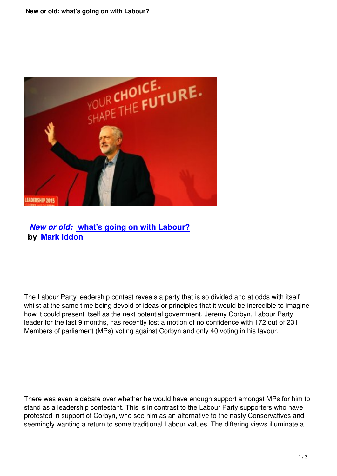

## *New or old:* **what's going on with Labour? by Mark Iddon**

The Labour Party leadership contest reveals a party that is so divided and at odds with itself whilst at the same time being devoid of ideas or principles that it would be incredible to imagine how it could present itself as the next potential government. Jeremy Corbyn, Labour Party leader for the last 9 months, has recently lost a motion of no confidence with 172 out of 231 Members of parliament (MPs) voting against Corbyn and only 40 voting in his favour.

There was even a debate over whether he would have enough support amongst MPs for him to stand as a leadership contestant. This is in contrast to the Labour Party supporters who have protested in support of Corbyn, who see him as an alternative to the nasty Conservatives and seemingly wanting a return to some traditional Labour values. The differing views illuminate a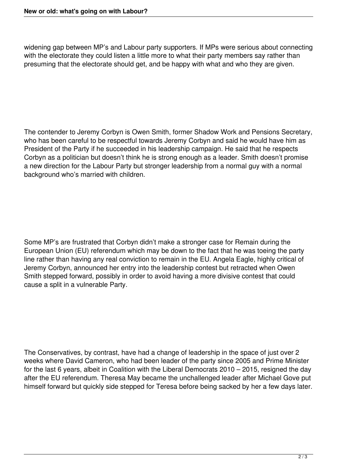widening gap between MP's and Labour party supporters. If MPs were serious about connecting with the electorate they could listen a little more to what their party members say rather than presuming that the electorate should get, and be happy with what and who they are given.

The contender to Jeremy Corbyn is Owen Smith, former Shadow Work and Pensions Secretary, who has been careful to be respectful towards Jeremy Corbyn and said he would have him as President of the Party if he succeeded in his leadership campaign. He said that he respects Corbyn as a politician but doesn't think he is strong enough as a leader. Smith doesn't promise a new direction for the Labour Party but stronger leadership from a normal guy with a normal background who's married with children.

Some MP's are frustrated that Corbyn didn't make a stronger case for Remain during the European Union (EU) referendum which may be down to the fact that he was toeing the party line rather than having any real conviction to remain in the EU. Angela Eagle, highly critical of Jeremy Corbyn, announced her entry into the leadership contest but retracted when Owen Smith stepped forward, possibly in order to avoid having a more divisive contest that could cause a split in a vulnerable Party.

The Conservatives, by contrast, have had a change of leadership in the space of just over 2 weeks where David Cameron, who had been leader of the party since 2005 and Prime Minister for the last 6 years, albeit in Coalition with the Liberal Democrats 2010 – 2015, resigned the day after the EU referendum. Theresa May became the unchallenged leader after Michael Gove put himself forward but quickly side stepped for Teresa before being sacked by her a few days later.